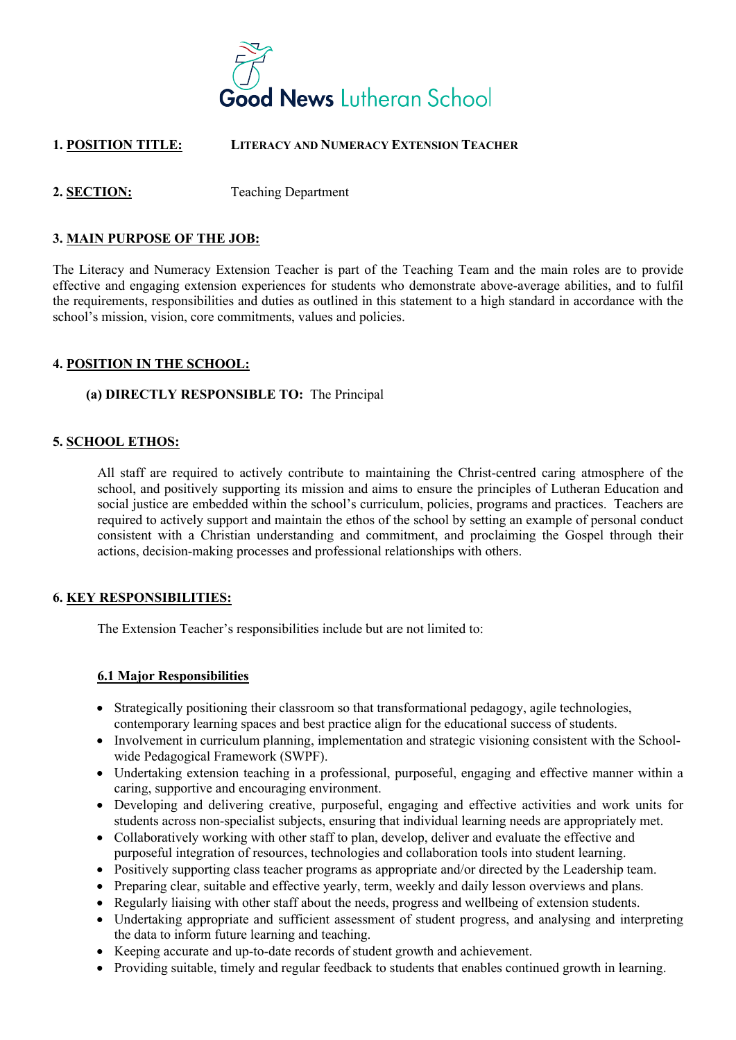

# **1. POSITION TITLE: LITERACY AND NUMERACY EXTENSION TEACHER**

## **2. SECTION:** Teaching Department

### **3. MAIN PURPOSE OF THE JOB:**

The Literacy and Numeracy Extension Teacher is part of the Teaching Team and the main roles are to provide effective and engaging extension experiences for students who demonstrate above-average abilities, and to fulfil the requirements, responsibilities and duties as outlined in this statement to a high standard in accordance with the school's mission, vision, core commitments, values and policies.

### **4. POSITION IN THE SCHOOL:**

### **(a) DIRECTLY RESPONSIBLE TO:** The Principal

### **5. SCHOOL ETHOS:**

All staff are required to actively contribute to maintaining the Christ-centred caring atmosphere of the school, and positively supporting its mission and aims to ensure the principles of Lutheran Education and social justice are embedded within the school's curriculum, policies, programs and practices. Teachers are required to actively support and maintain the ethos of the school by setting an example of personal conduct consistent with a Christian understanding and commitment, and proclaiming the Gospel through their actions, decision-making processes and professional relationships with others.

#### **6. KEY RESPONSIBILITIES:**

The Extension Teacher's responsibilities include but are not limited to:

#### **6.1 Major Responsibilities**

- Strategically positioning their classroom so that transformational pedagogy, agile technologies, contemporary learning spaces and best practice align for the educational success of students.
- Involvement in curriculum planning, implementation and strategic visioning consistent with the Schoolwide Pedagogical Framework (SWPF).
- Undertaking extension teaching in a professional, purposeful, engaging and effective manner within a caring, supportive and encouraging environment.
- Developing and delivering creative, purposeful, engaging and effective activities and work units for students across non-specialist subjects, ensuring that individual learning needs are appropriately met.
- Collaboratively working with other staff to plan, develop, deliver and evaluate the effective and purposeful integration of resources, technologies and collaboration tools into student learning.
- Positively supporting class teacher programs as appropriate and/or directed by the Leadership team.
- Preparing clear, suitable and effective yearly, term, weekly and daily lesson overviews and plans.
- Regularly liaising with other staff about the needs, progress and wellbeing of extension students.
- Undertaking appropriate and sufficient assessment of student progress, and analysing and interpreting the data to inform future learning and teaching.
- Keeping accurate and up-to-date records of student growth and achievement.
- Providing suitable, timely and regular feedback to students that enables continued growth in learning.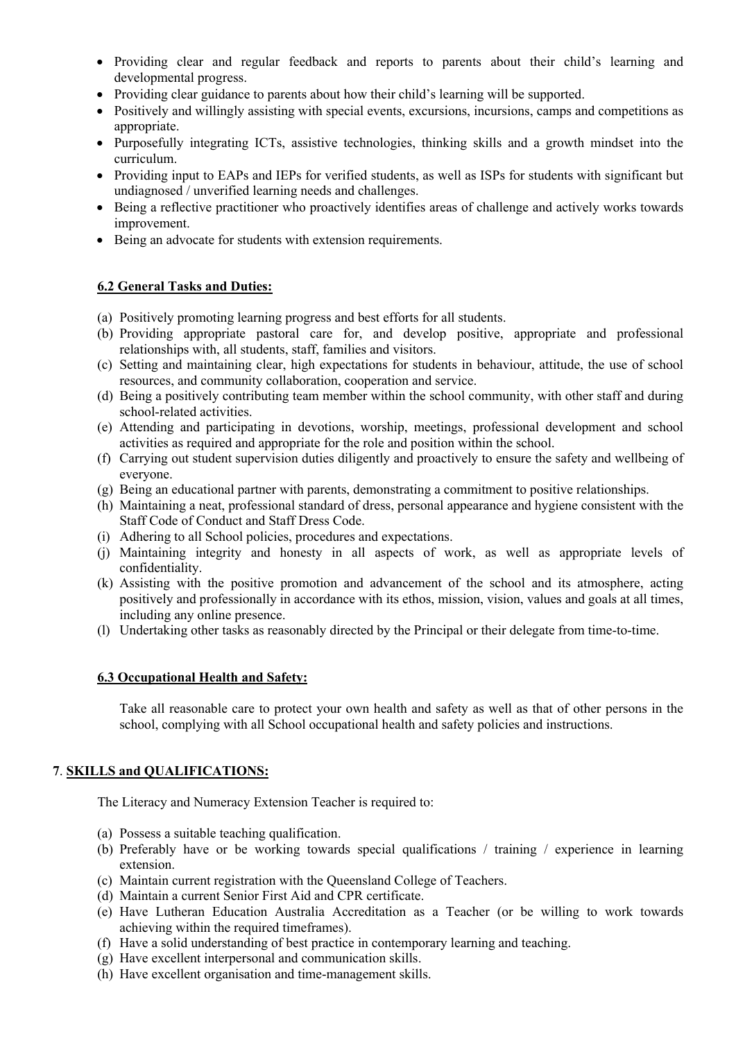- Providing clear and regular feedback and reports to parents about their child's learning and developmental progress.
- Providing clear guidance to parents about how their child's learning will be supported.
- Positively and willingly assisting with special events, excursions, incursions, camps and competitions as appropriate.
- Purposefully integrating ICTs, assistive technologies, thinking skills and a growth mindset into the curriculum.
- Providing input to EAPs and IEPs for verified students, as well as ISPs for students with significant but undiagnosed / unverified learning needs and challenges.
- Being a reflective practitioner who proactively identifies areas of challenge and actively works towards improvement.
- Being an advocate for students with extension requirements.

## **6.2 General Tasks and Duties:**

- (a) Positively promoting learning progress and best efforts for all students.
- (b) Providing appropriate pastoral care for, and develop positive, appropriate and professional relationships with, all students, staff, families and visitors.
- (c) Setting and maintaining clear, high expectations for students in behaviour, attitude, the use of school resources, and community collaboration, cooperation and service.
- (d) Being a positively contributing team member within the school community, with other staff and during school-related activities.
- (e) Attending and participating in devotions, worship, meetings, professional development and school activities as required and appropriate for the role and position within the school.
- (f) Carrying out student supervision duties diligently and proactively to ensure the safety and wellbeing of everyone.
- (g) Being an educational partner with parents, demonstrating a commitment to positive relationships.
- (h) Maintaining a neat, professional standard of dress, personal appearance and hygiene consistent with the Staff Code of Conduct and Staff Dress Code.
- (i) Adhering to all School policies, procedures and expectations.
- (j) Maintaining integrity and honesty in all aspects of work, as well as appropriate levels of confidentiality.
- (k) Assisting with the positive promotion and advancement of the school and its atmosphere, acting positively and professionally in accordance with its ethos, mission, vision, values and goals at all times, including any online presence.
- (l) Undertaking other tasks as reasonably directed by the Principal or their delegate from time-to-time.

## **6.3 Occupational Health and Safety:**

Take all reasonable care to protect your own health and safety as well as that of other persons in the school, complying with all School occupational health and safety policies and instructions.

## **7**. **SKILLS and QUALIFICATIONS:**

The Literacy and Numeracy Extension Teacher is required to:

- (a) Possess a suitable teaching qualification.
- (b) Preferably have or be working towards special qualifications / training / experience in learning extension.
- (c) Maintain current registration with the Queensland College of Teachers.
- (d) Maintain a current Senior First Aid and CPR certificate.
- (e) Have Lutheran Education Australia Accreditation as a Teacher (or be willing to work towards achieving within the required timeframes).
- (f) Have a solid understanding of best practice in contemporary learning and teaching.
- (g) Have excellent interpersonal and communication skills.
- (h) Have excellent organisation and time-management skills.